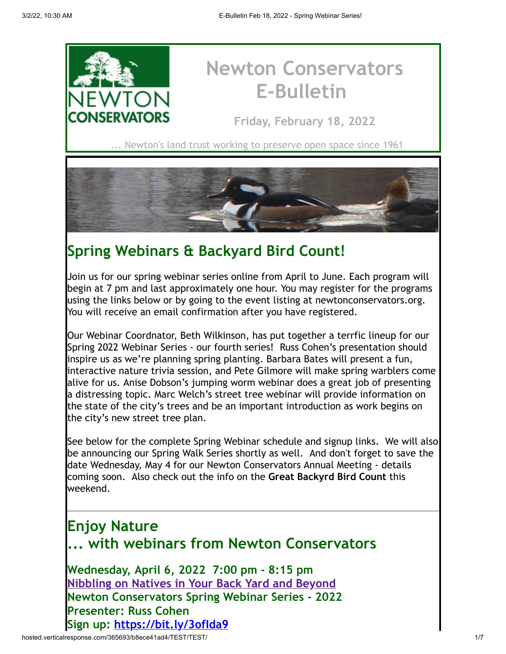

# **Newton Conservators E-Bulletin**

**Friday, February 18, 2022**

Newton's land trust working to preserve open space since 1961



## **Spring Webinars & Backyard Bird Count!**

Join us for our spring webinar series online from April to June. Each program will begin at 7 pm and last approximately one hour. You may register for the programs using the links below or by going to the event listing at newtonconservators.org. You will receive an email confirmation after you have registered.

Our Webinar Coordnator, Beth Wilkinson, has put together a terrfic lineup for our Spring 2022 Webinar Series - our fourth series! Russ Cohen's presentation should inspire us as we're planning spring planting. Barbara Bates will present a fun, interactive nature trivia session, and Pete Gilmore will make spring warblers come alive for us. Anise Dobson's jumping worm webinar does a great job of presenting a distressing topic. Marc Welch's street tree webinar will provide information on the state of the city's trees and be an important introduction as work begins on the city's new street tree plan.

See below for the complete Spring Webinar schedule and signup links. We will also be announcing our Spring Walk Series shortly as well. And don't forget to save the date Wednesday, May 4 for our Newton Conservators Annual Meeting - details coming soon. Also check out the info on the **Great Backyrd Bird Count** this weekend.

## **Enjoy Nature ... with webinars from Newton Conservators**

**Wednesday, April 6, 2022 7:00 pm - 8:15 pm [Nibbling on Natives in Your Back Yard and Beyond](https://newtonconservators.org/events/nibbling-on-natives-in-your-back-yard-and-beyond/) Newton Conservators Spring Webinar Series - 2022 Presenter: Russ Cohen Sign up:<https://bit.ly/3ofIda9>**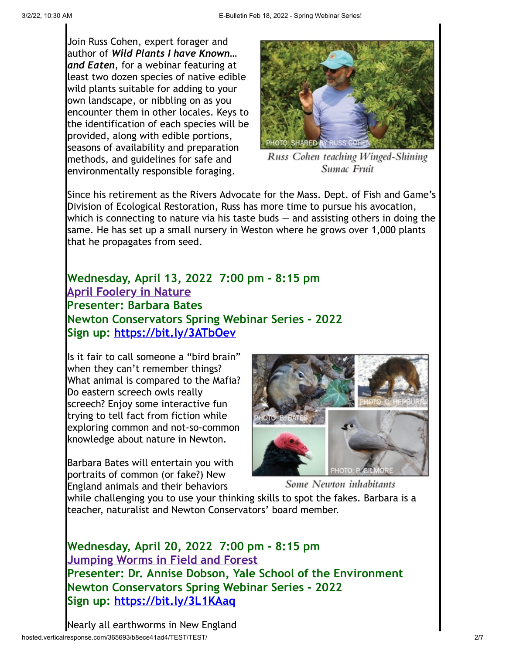Join Russ Cohen, expert forager and author of *Wild Plants I have Known… and Eaten*, for a webinar featuring at least two dozen species of native edible wild plants suitable for adding to your own landscape, or nibbling on as you encounter them in other locales. Keys to the identification of each species will be provided, along with edible portions, seasons of availability and preparation methods, and guidelines for safe and environmentally responsible foraging.



Russ Cohen teaching Winged-Shining Sumac Fruit

Since his retirement as the Rivers Advocate for the Mass. Dept. of Fish and Game's Division of Ecological Restoration, Russ has more time to pursue his avocation, which is connecting to nature via his taste buds — and assisting others in doing the same. He has set up a small nursery in Weston where he grows over 1,000 plants that he propagates from seed.

**Wednesday, April 13, 2022 7:00 pm - 8:15 pm [April Foolery in Nature](https://newtonconservators.org/events/april-foolery-in-nature/) Presenter: Barbara Bates Newton Conservators Spring Webinar Series - 2022 Sign up: <https://bit.ly/3ATbOev>**

Is it fair to call someone a "bird brain" when they can't remember things? What animal is compared to the Mafia? Do eastern screech owls really screech? Enjoy some interactive fun trying to tell fact from fiction while exploring common and not-so-common knowledge about nature in Newton.

Barbara Bates will entertain you with portraits of common (or fake?) New England animals and their behaviors



Some Newton inhabitants

while challenging you to use your thinking skills to spot the fakes. Barbara is a teacher, naturalist and Newton Conservators' board member.

**Wednesday, April 20, 2022 7:00 pm - 8:15 pm [Jumping Worms in Field and Forest](https://newtonconservators.org/events/jumping-worms-in-field-and-forest/) Presenter: Dr. Annise Dobson, Yale School of the Environment Newton Conservators Spring Webinar Series - 2022 Sign up:<https://bit.ly/3L1KAaq>**

hosted.verticalresponse.com/365693/b8ece41ad4/TEST/TEST/ 207 Nearly all earthworms in New England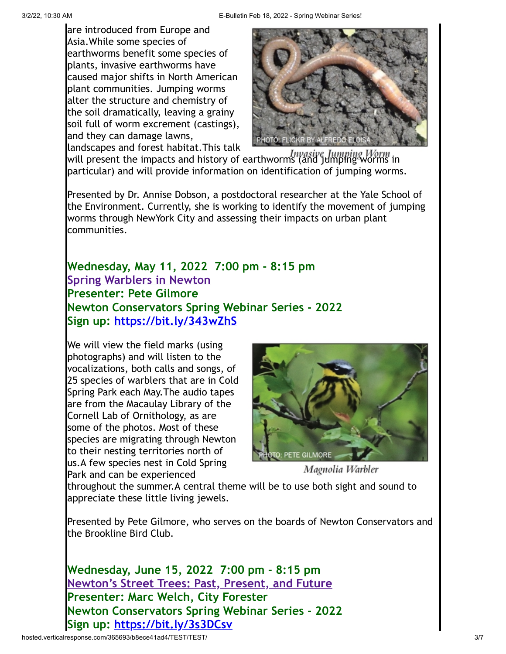are introduced from Europe and Asia.While some species of earthworms benefit some species of plants, invasive earthworms have caused major shifts in North American plant communities. Jumping worms alter the structure and chemistry of the soil dramatically, leaving a grainy soil full of worm excrement (castings), and they can damage lawns,



landscapes and forest habitat.This talk will present the impacts and history of earthworms (and jumping Worm in particular) and will provide information on identification of jumping worms.

Presented by Dr. Annise Dobson, a postdoctoral researcher at the Yale School of the Environment. Currently, she is working to identify the movement of jumping worms through NewYork City and assessing their impacts on urban plant communities.

## **Wednesday, May 11, 2022 7:00 pm - 8:15 pm [Spring Warblers in Newton](https://newtonconservators.org/events/spring-warblers-in-newton/) Presenter: Pete Gilmore Newton Conservators Spring Webinar Series - 2022 Sign up:<https://bit.ly/343wZhS>**

We will view the field marks (using photographs) and will listen to the vocalizations, both calls and songs, of 25 species of warblers that are in Cold Spring Park each May.The audio tapes are from the Macaulay Library of the Cornell Lab of Ornithology, as are some of the photos. Most of these species are migrating through Newton to their nesting territories north of us.A few species nest in Cold Spring Park and can be experienced



Magnolia Warbler

throughout the summer.A central theme will be to use both sight and sound to appreciate these little living jewels.

Presented by Pete Gilmore, who serves on the boards of Newton Conservators and the Brookline Bird Club.

**Wednesday, June 15, 2022 7:00 pm - 8:15 pm [Newton's Street Trees: Past, Present, and Future](https://newtonconservators.org/events/newtons-street-trees-past-present-and-future/) Presenter: Marc Welch, City Forester Newton Conservators Spring Webinar Series - 2022 Sign up:<https://bit.ly/3s3DCsv>**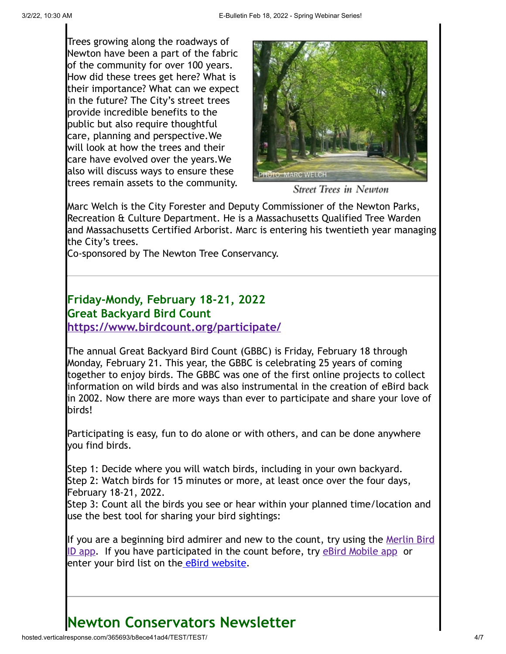Trees growing along the roadways of Newton have been a part of the fabric of the community for over 100 years. How did these trees get here? What is their importance? What can we expect in the future? The City's street trees provide incredible benefits to the public but also require thoughtful care, planning and perspective.We will look at how the trees and their care have evolved over the years.We also will discuss ways to ensure these trees remain assets to the community.



**Street Trees in Newton** 

Marc Welch is the City Forester and Deputy Commissioner of the Newton Parks, Recreation & Culture Department. He is a Massachusetts Qualified Tree Warden and Massachusetts Certified Arborist. Marc is entering his twentieth year managing the City's trees.

Co-sponsored by The Newton Tree Conservancy.

### **Friday-Mondy, February 18-21, 2022 Great Backyard Bird Count <https://www.birdcount.org/participate/>**

The annual Great Backyard Bird Count (GBBC) is Friday, February 18 through Monday, February 21. This year, the GBBC is celebrating 25 years of coming together to enjoy birds. The GBBC was one of the first online projects to collect information on wild birds and was also instrumental in the creation of eBird back in 2002. Now there are more ways than ever to participate and share your love of birds!

Participating is easy, fun to do alone or with others, and can be done anywhere you find birds.

Step 1: Decide where you will watch birds, including in your own backyard. Step 2: Watch birds for 15 minutes or more, at least once over the four days, February 18-21, 2022.

Step 3: Count all the birds you see or hear within your planned time/location and use the best tool for sharing your bird sightings:

[If you are a beginning bird admirer and new to the count, try using the Merlin Bird](https://www.birdcount.org/merlin-bird-id-app/) ID app. If you have participated in the count before, try [eBird Mobile app](https://www.birdcount.org/ebird-mobile-app/) or enter your bird list on th[e eBird website](https://www.birdcount.org/ebird-on-computer/desktop/laptop).

# **Newton Conservators Newsletter**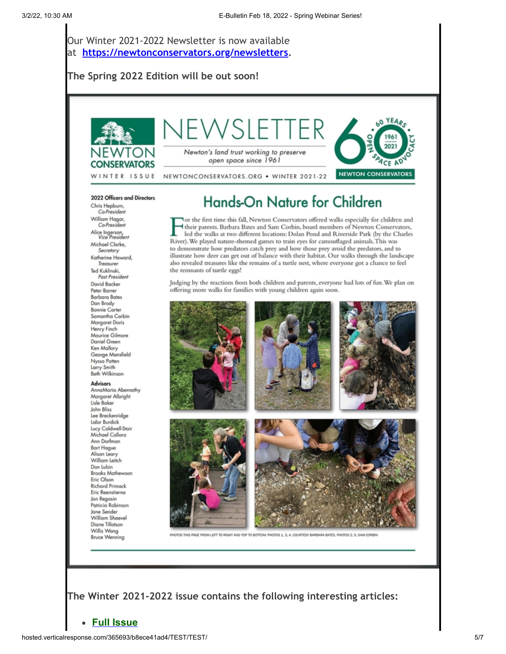Our Winter 2021-2022 Newsletter is now available at **<https://newtonconservators.org/newsletters>.**

#### **The Spring 2022 Edition will be out soon!**



#### 2022 Officers and Directors

Chris Hepburn. Co-President William Hagar,<br>Co-President Alice Ingerson,<br>Vice President Michael Clarke, Secretary Katherine Howard, Treasure Ted Kuklinski, Past President David Backer Peter Barrer **Barbara Bates** Dan Brody **Bonnie Carter** Samantha Corbin Margaret Doris Henry Finch Maurice Gilmore Daniel Green Ken Mallory George Mansfield Nyssa Patten Larry Smith<br>Beth Wilkinson Advisors

AnnaMaria Abernathy Margaret Albright Lisle Baker John Bliss Lee Breckenridge Lalor Burdick Lucy Caldwell-Stair Michael Collora Ann Dorfman **Bart Hague** Alison Leary William Leitch Don Lubin **Brooks Mathewson** Eric Olson **Richard Primack** Eric Reenstierna Jon Regosin Patricia Robinson Jane Sender William Shaevel Diane Tillotson Willis Wang **Bruce Wenning** 

# Hands-On Nature for Children

Vor the first time this fall, Newton Conservators offered walks especially for children and their parents. Barbara Bates and Sam Corbin, board members of Newton Conservators, led the walks at two different locations: Dolan Pond and Riverside Park (by the Charles River). We played nature-themed games to train eyes for camouflaged animals. This was to demonstrate how predators catch prey and how those prey avoid the predators, and to illustrate how deer can get out of balance with their habitat. Our walks through the landscape also revealed treasures like the remains of a turtle nest, where everyone got a chance to feel the remnants of turtle eggs!

Judging by the reactions from both children and parents, everyone had lots of fun. We plan on offering more walks for families with young children again soon.



HIS PAGE FROM LEFT TO RIGHT AND TOP TO BOTTOM: PHOTOS 1, 3, 4, COURTESY BARBARA BATES, PHOTOS 2, 5, SAM COI

**The Winter 2021-2022 issue contains the following interesting articles:**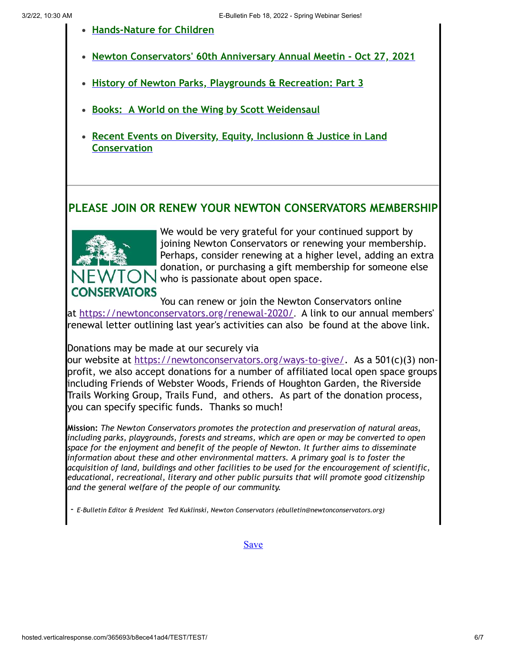- **[Hands-Nature for Children](http://newtonconservators.org/wp-content/uploads/2021/11/Newsletter-2021-Winter-Hands-on-Ntuture-with-Children.pdf)**
- **[Newton Conservators' 60th Anniversary Annual Meetin Oct 27, 2021](http://newtonconservators.org/wp-content/uploads/2021/11/Newsletter-2021-Winter-60th-Anniversary-Annual-Meeting-.pdf)**
- **[History of Newton Parks, Playgrounds & Recreation: Part 3](http://newtonconservators.org/wp-content/uploads/2021/11/Newsletter-2021-Winter-Newton-Parks-Playgrounds-and-Recreation-part-3.pdf)**
- **[Books: A World on the Wing by Scott Weidensaul](http://newtonconservators.org/wp-content/uploads/2021/11/Newsletter-2021-Winter-World-on-the-Wing.pdf)**
- **[Recent Events on Diversity, Equity, Inclusionn & Justice in Land](http://newtonconservators.org/wp-content/uploads/2021/11/Newsletter-2021-Winter-Diversity-Equity-Inclusion-Justice.pdf) Conservation**

### **PLEASE JOIN OR RENEW YOUR NEWTON CONSERVATORS MEMBERSHIP**



We would be very grateful for your continued support by joining Newton Conservators or renewing your membership. Perhaps, consider renewing at a higher level, adding an extra donation, or purchasing a gift membership for someone else who is passionate about open space.

You can renew or join the Newton Conservators online at<https://newtonconservators.org/renewal-2020/>. A link to our annual members' renewal letter outlining last year's activities can also be found at the above link.

Donations may be made at our securely via

our website at<https://newtonconservators.org/ways-to-give/>. As a 501(c)(3) nonprofit, we also accept donations for a number of affiliated local open space groups including Friends of Webster Woods, Friends of Houghton Garden, the Riverside Trails Working Group, Trails Fund, and others. As part of the donation process, you can specify specific funds. Thanks so much!

**Mission:** *The Newton Conservators promotes the protection and preservation of natural areas, including parks, playgrounds, forests and streams, which are open or may be converted to open space for the enjoyment and benefit of the people of Newton. It further aims to disseminate information about these and other environmental matters. A primary goal is to foster the acquisition of land, buildings and other facilities to be used for the encouragement of scientific, educational, recreational, literary and other public pursuits that will promote good citizenship and the general welfare of the people of our community.*

- *E-Bulletin Editor & President Ted Kuklinski, Newton Conservators (ebulletin@newtonconservators.org)*

**[Save](https://app.verticalresponse.com/app/emails/builder/index/1635594337?page=build#)**